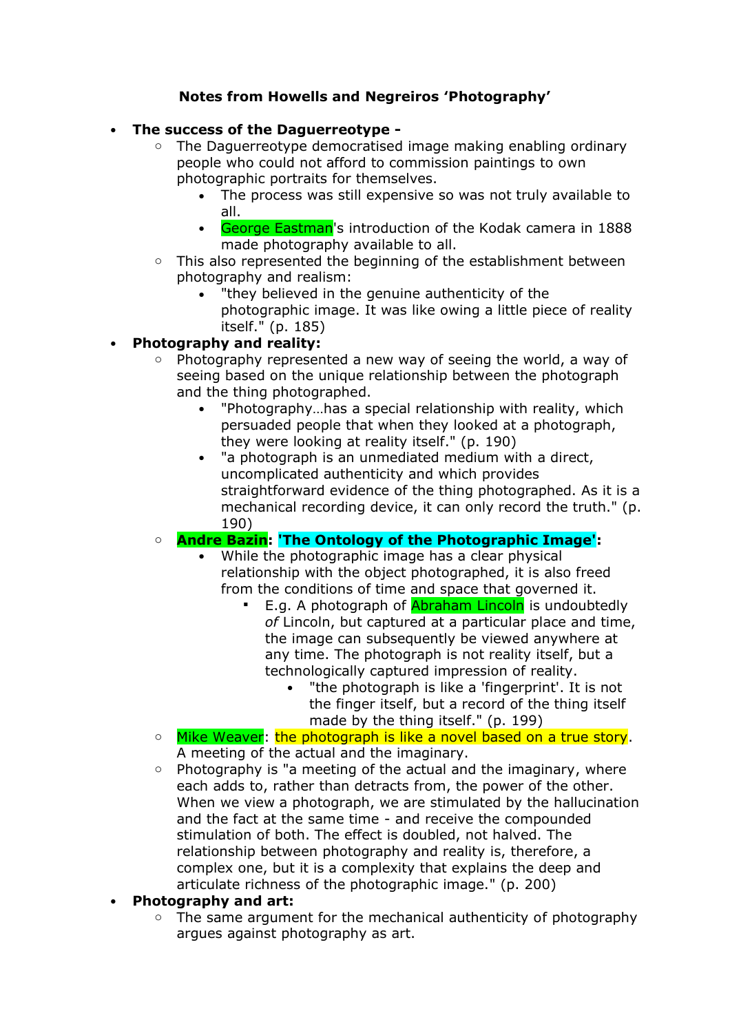## **Notes from Howells and Negreiros 'Photography'**

## • **The success of the Daguerreotype -**

- $\circ$  The Daguerreotype democratised image making enabling ordinary people who could not afford to commission paintings to own photographic portraits for themselves.
	- The process was still expensive so was not truly available to all.
	- George Eastman's introduction of the Kodak camera in 1888 made photography available to all.
- o This also represented the beginning of the establishment between photography and realism:
	- "they believed in the genuine authenticity of the photographic image. It was like owing a little piece of reality itself." (p. 185)

# • **Photography and reality:**

- o Photography represented a new way of seeing the world, a way of seeing based on the unique relationship between the photograph and the thing photographed.
	- "Photography...has a special relationship with reality, which persuaded people that when they looked at a photograph, they were looking at reality itself." (p. 190)
	- "a photograph is an unmediated medium with a direct, uncomplicated authenticity and which provides straightforward evidence of the thing photographed. As it is a mechanical recording device, it can only record the truth." (p. 190)

## o **Andre Bazin: 'The Ontology of the Photographic Image':**

- While the photographic image has a clear physical relationship with the object photographed, it is also freed from the conditions of time and space that governed it.
	- E.g. A photograph of **Abraham Lincoln** is undoubtedly *of* Lincoln, but captured at a particular place and time, the image can subsequently be viewed anywhere at any time. The photograph is not reality itself, but a technologically captured impression of reality.
		- "the photograph is like a 'fingerprint'. It is not the finger itself, but a record of the thing itself made by the thing itself." (p. 199)
- o Mike Weaver: the photograph is like a novel based on a true story. A meeting of the actual and the imaginary.
- $\circ$  Photography is "a meeting of the actual and the imaginary, where each adds to, rather than detracts from, the power of the other. When we view a photograph, we are stimulated by the hallucination and the fact at the same time - and receive the compounded stimulation of both. The effect is doubled, not halved. The relationship between photography and reality is, therefore, a complex one, but it is a complexity that explains the deep and articulate richness of the photographic image." (p. 200)

## • **Photography and art:**

The same argument for the mechanical authenticity of photography argues against photography as art.